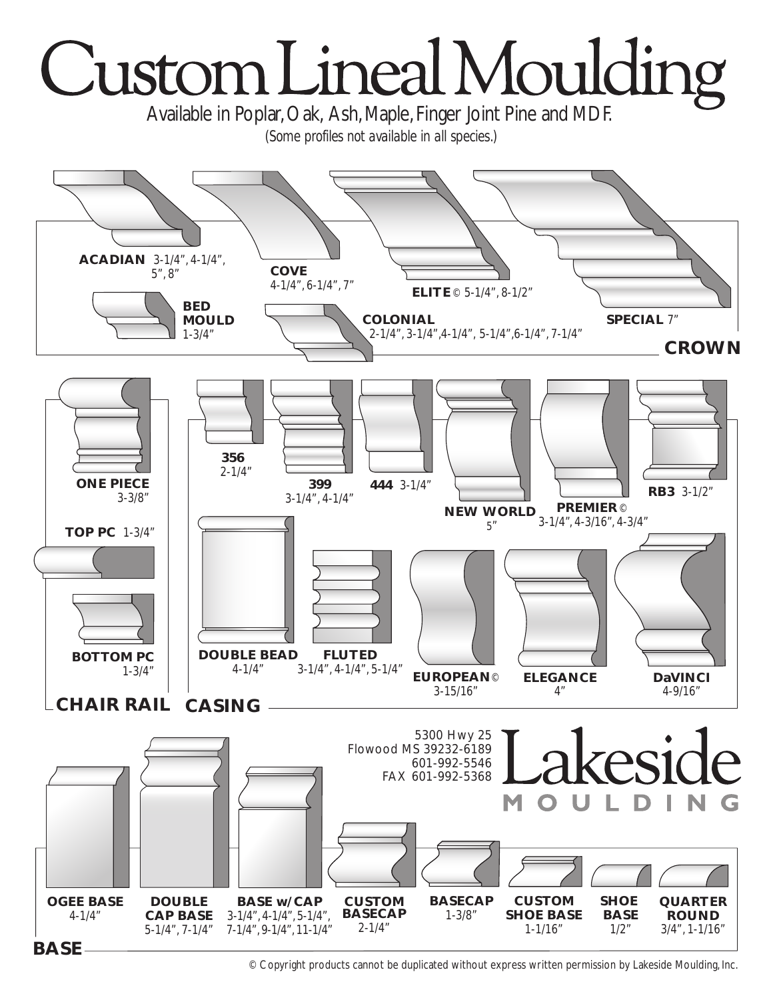

© Copyright products cannot be duplicated without express written permission by Lakeside Moulding, Inc.